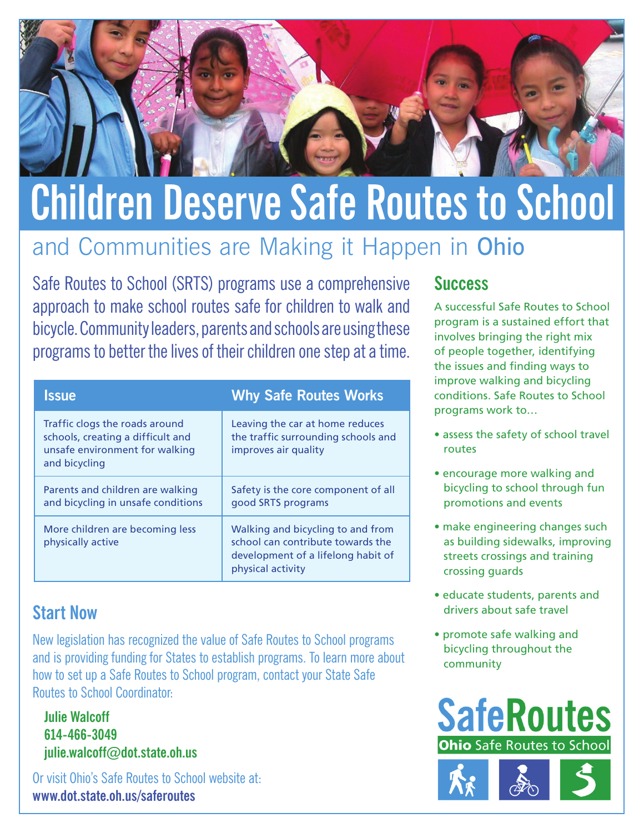

# **Children Deserve Safe Routes to School**

# and Communities are Making it Happen in Ohio

Safe Routes to School (SRTS) programs use a comprehensive approach to make school routes safe for children to walk and bicycle. Community leaders, parents and schools are using these programs to better the lives of their children one step at a time.

| <b>Issue</b>                                                                                                           | <b>Why Safe Routes Works</b>                                                                                                      |
|------------------------------------------------------------------------------------------------------------------------|-----------------------------------------------------------------------------------------------------------------------------------|
| Traffic clogs the roads around<br>schools, creating a difficult and<br>unsafe environment for walking<br>and bicycling | Leaving the car at home reduces<br>the traffic surrounding schools and<br>improves air quality                                    |
| Parents and children are walking<br>and bicycling in unsafe conditions                                                 | Safety is the core component of all<br>good SRTS programs                                                                         |
| More children are becoming less<br>physically active                                                                   | Walking and bicycling to and from<br>school can contribute towards the<br>development of a lifelong habit of<br>physical activity |

### **Start Now**

New legislation has recognized the value of Safe Routes to School programs and is providing funding for States to establish programs. To learn more about how to set up a Safe Routes to School program, contact your State Safe Routes to School Coordinator:

**Julie Walcoff 614-466-3049 julie.walcoff@dot.state.oh.us**

Or visit Ohio's Safe Routes to School website at: **www.dot.state.oh.us/saferoutes** 

## **Success**

A successful Safe Routes to School program is a sustained effort that involves bringing the right mix of people together, identifying the issues and finding ways to improve walking and bicycling conditions. Safe Routes to School programs work to…

- assess the safety of school travel routes
- encourage more walking and bicycling to school through fun promotions and events
- make engineering changes such as building sidewalks, improving streets crossings and training crossing guards
- educate students, parents and drivers about safe travel
- promote safe walking and bicycling throughout the community